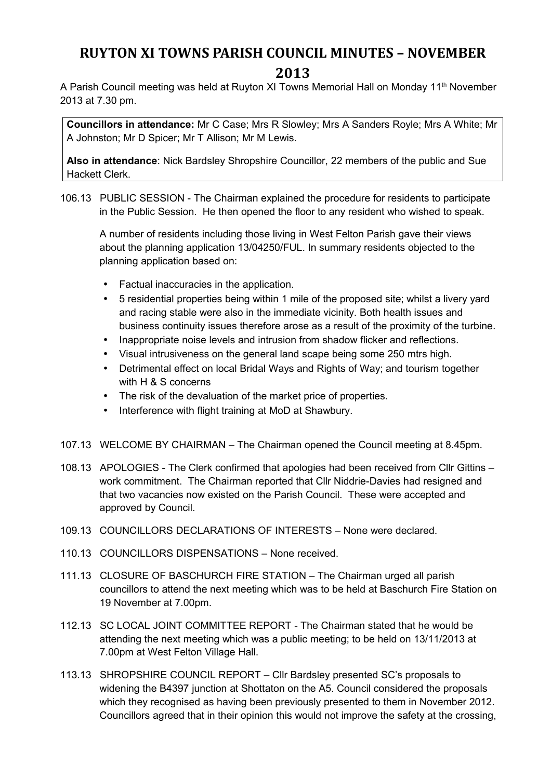## **RUYTON XI TOWNS PARISH COUNCIL MINUTES – NOVEMBER 2013**

A Parish Council meeting was held at Ruyton XI Towns Memorial Hall on Monday 11<sup>th</sup> November 2013 at 7.30 pm.

**Councillors in attendance:** Mr C Case; Mrs R Slowley; Mrs A Sanders Royle; Mrs A White; Mr A Johnston; Mr D Spicer; Mr T Allison; Mr M Lewis.

**Also in attendance**: Nick Bardsley Shropshire Councillor, 22 members of the public and Sue Hackett Clerk.

106.13 PUBLIC SESSION - The Chairman explained the procedure for residents to participate in the Public Session. He then opened the floor to any resident who wished to speak.

A number of residents including those living in West Felton Parish gave their views about the planning application 13/04250/FUL. In summary residents objected to the planning application based on:

- Factual inaccuracies in the application.
- 5 residential properties being within 1 mile of the proposed site; whilst a livery yard and racing stable were also in the immediate vicinity. Both health issues and business continuity issues therefore arose as a result of the proximity of the turbine.
- Inappropriate noise levels and intrusion from shadow flicker and reflections.
- Visual intrusiveness on the general land scape being some 250 mtrs high.
- Detrimental effect on local Bridal Ways and Rights of Way; and tourism together with H & S concerns
- The risk of the devaluation of the market price of properties.
- Interference with flight training at MoD at Shawbury.
- 107.13 WELCOME BY CHAIRMAN The Chairman opened the Council meeting at 8.45pm.
- 108.13 APOLOGIES The Clerk confirmed that apologies had been received from Cllr Gittins work commitment. The Chairman reported that Cllr Niddrie-Davies had resigned and that two vacancies now existed on the Parish Council. These were accepted and approved by Council.
- 109.13 COUNCILLORS DECLARATIONS OF INTERESTS None were declared.
- 110.13 COUNCILLORS DISPENSATIONS None received.
- 111.13 CLOSURE OF BASCHURCH FIRE STATION The Chairman urged all parish councillors to attend the next meeting which was to be held at Baschurch Fire Station on 19 November at 7.00pm.
- 112.13 SC LOCAL JOINT COMMITTEE REPORT The Chairman stated that he would be attending the next meeting which was a public meeting; to be held on 13/11/2013 at 7.00pm at West Felton Village Hall.
- 113.13 SHROPSHIRE COUNCIL REPORT Cllr Bardsley presented SC's proposals to widening the B4397 junction at Shottaton on the A5. Council considered the proposals which they recognised as having been previously presented to them in November 2012. Councillors agreed that in their opinion this would not improve the safety at the crossing,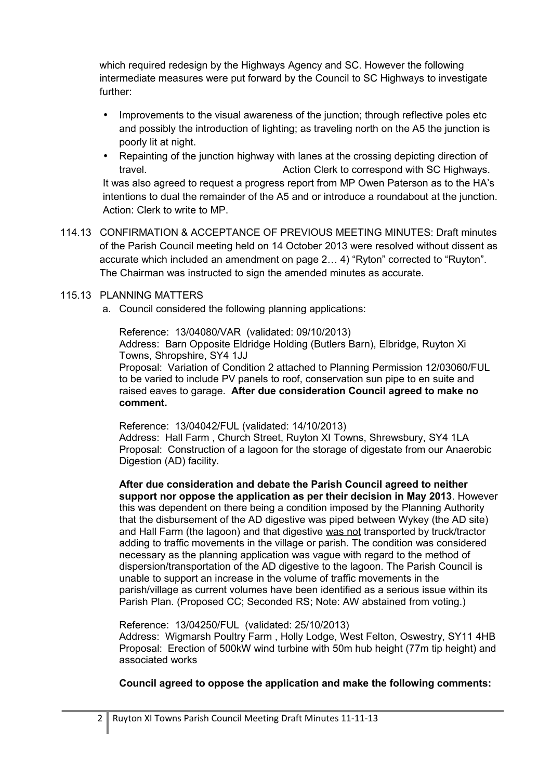which required redesign by the Highways Agency and SC. However the following intermediate measures were put forward by the Council to SC Highways to investigate further:

- Improvements to the visual awareness of the junction; through reflective poles etc and possibly the introduction of lighting; as traveling north on the A5 the junction is poorly lit at night.
- Repainting of the junction highway with lanes at the crossing depicting direction of travel. Action Clerk to correspond with SC Highways. It was also agreed to request a progress report from MP Owen Paterson as to the HA's intentions to dual the remainder of the A5 and or introduce a roundabout at the junction. Action: Clerk to write to MP.
- 114.13 CONFIRMATION & ACCEPTANCE OF PREVIOUS MEETING MINUTES: Draft minutes of the Parish Council meeting held on 14 October 2013 were resolved without dissent as accurate which included an amendment on page 2… 4) "Ryton" corrected to "Ruyton". The Chairman was instructed to sign the amended minutes as accurate.

## 115.13 PLANNING MATTERS

a. Council considered the following planning applications:

Reference: 13/04080/VAR (validated: 09/10/2013) Address: Barn Opposite Eldridge Holding (Butlers Barn), Elbridge, Ruyton Xi Towns, Shropshire, SY4 1JJ Proposal: Variation of Condition 2 attached to Planning Permission 12/03060/FUL to be varied to include PV panels to roof, conservation sun pipe to en suite and raised eaves to garage. **After due consideration Council agreed to make no** 

## **comment.**

Reference: 13/04042/FUL (validated: 14/10/2013) Address: Hall Farm , Church Street, Ruyton XI Towns, Shrewsbury, SY4 1LA Proposal: Construction of a lagoon for the storage of digestate from our Anaerobic Digestion (AD) facility.

**After due consideration and debate the Parish Council agreed to neither support nor oppose the application as per their decision in May 2013**. However this was dependent on there being a condition imposed by the Planning Authority that the disbursement of the AD digestive was piped between Wykey (the AD site) and Hall Farm (the lagoon) and that digestive was not transported by truck/tractor adding to traffic movements in the village or parish. The condition was considered necessary as the planning application was vague with regard to the method of dispersion/transportation of the AD digestive to the lagoon. The Parish Council is unable to support an increase in the volume of traffic movements in the parish/village as current volumes have been identified as a serious issue within its Parish Plan. (Proposed CC; Seconded RS; Note: AW abstained from voting.)

Reference: 13/04250/FUL (validated: 25/10/2013)

Address: Wigmarsh Poultry Farm , Holly Lodge, West Felton, Oswestry, SY11 4HB Proposal: Erection of 500kW wind turbine with 50m hub height (77m tip height) and associated works

**Council agreed to oppose the application and make the following comments:**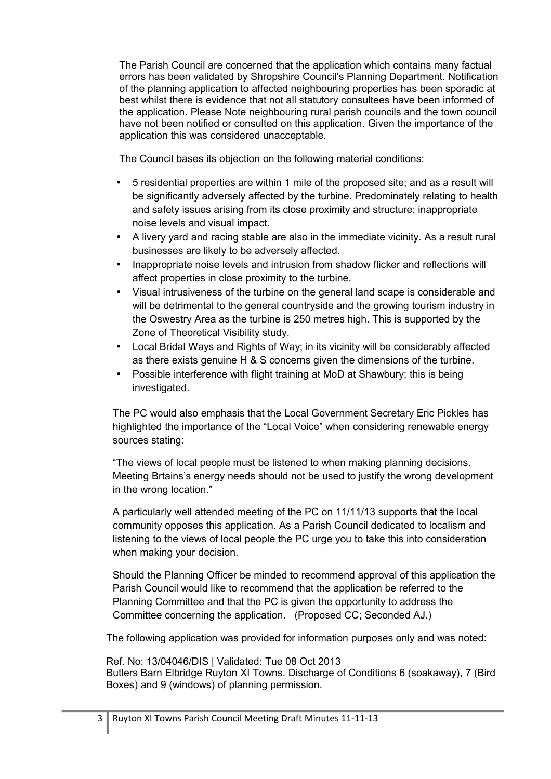The Parish Council are concerned that the application which contains many factual errors has been validated by Shropshire Council's Planning Department. Notification of the planning application to affected neighbouring properties has been sporadic at best whilst there is evidence that not all statutory consultees have been informed of the application. Please Note neighbouring rural parish councils and the town council have not been notified or consulted on this application. Given the importance of the application this was considered unacceptable.

The Council bases its objection on the following material conditions:

- 5 residential properties are within 1 mile of the proposed site; and as a result will be significantly adversely affected by the turbine. Predominately relating to health and safety issues arising from its close proximity and structure; inappropriate noise levels and visual impact.
- A livery yard and racing stable are also in the immediate vicinity. As a result rural businesses are likely to be adversely affected.
- Inappropriate noise levels and intrusion from shadow flicker and reflections will affect properties in close proximity to the turbine.
- Visual intrusiveness of the turbine on the general land scape is considerable and will be detrimental to the general countryside and the growing tourism industry in the Oswestry Area as the turbine is 250 metres high. This is supported by the Zone of Theoretical Visibility study.
- Local Bridal Ways and Rights of Way; in its vicinity will be considerably affected as there exists genuine H & S concerns given the dimensions of the turbine.
- Possible interference with flight training at MoD at Shawbury; this is being investigated.

The PC would also emphasis that the Local Government Secretary Eric Pickles has highlighted the importance of the "Local Voice" when considering renewable energy sources stating:

"The views of local people must be listened to when making planning decisions. Meeting Brtains's energy needs should not be used to justify the wrong development in the wrong location."

A particularly well attended meeting of the PC on 11/11/13 supports that the local community opposes this application. As a Parish Council dedicated to localism and listening to the views of local people the PC urge you to take this into consideration when making your decision.

Should the Planning Officer be minded to recommend approval of this application the Parish Council would like to recommend that the application be referred to the Planning Committee and that the PC is given the opportunity to address the Committee concerning the application. (Proposed CC; Seconded AJ.)

The following application was provided for information purposes only and was noted:

Ref. No: 13/04046/DIS | Validated: Tue 08 Oct 2013 Butlers Barn Elbridge Ruyton XI Towns. Discharge of Conditions 6 (soakaway), 7 (Bird Boxes) and 9 (windows) of planning permission.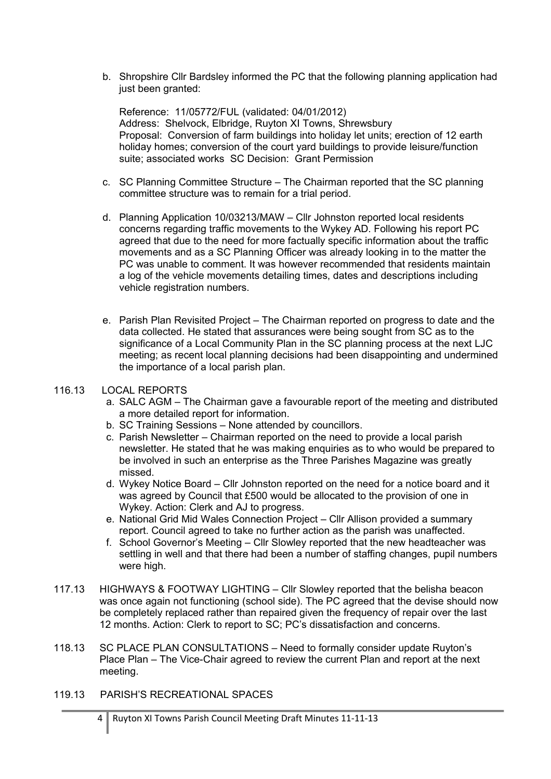b. Shropshire Cllr Bardsley informed the PC that the following planning application had just been granted:

Reference: 11/05772/FUL (validated: 04/01/2012) Address: Shelvock, Elbridge, Ruyton XI Towns, Shrewsbury Proposal: Conversion of farm buildings into holiday let units; erection of 12 earth holiday homes; conversion of the court yard buildings to provide leisure/function suite; associated works SC Decision: Grant Permission

- c. SC Planning Committee Structure The Chairman reported that the SC planning committee structure was to remain for a trial period.
- d. Planning Application 10/03213/MAW Cllr Johnston reported local residents concerns regarding traffic movements to the Wykey AD. Following his report PC agreed that due to the need for more factually specific information about the traffic movements and as a SC Planning Officer was already looking in to the matter the PC was unable to comment. It was however recommended that residents maintain a log of the vehicle movements detailing times, dates and descriptions including vehicle registration numbers.
- e. Parish Plan Revisited Project The Chairman reported on progress to date and the data collected. He stated that assurances were being sought from SC as to the significance of a Local Community Plan in the SC planning process at the next LJC meeting; as recent local planning decisions had been disappointing and undermined the importance of a local parish plan.

## 116.13 LOCAL REPORTS

- a. SALC AGM The Chairman gave a favourable report of the meeting and distributed a more detailed report for information.
- b. SC Training Sessions None attended by councillors.
- c. Parish Newsletter Chairman reported on the need to provide a local parish newsletter. He stated that he was making enquiries as to who would be prepared to be involved in such an enterprise as the Three Parishes Magazine was greatly missed.
- d. Wykey Notice Board Cllr Johnston reported on the need for a notice board and it was agreed by Council that £500 would be allocated to the provision of one in Wykey. Action: Clerk and AJ to progress.
- e. National Grid Mid Wales Connection Project Cllr Allison provided a summary report. Council agreed to take no further action as the parish was unaffected.
- f. School Governor's Meeting Cllr Slowley reported that the new headteacher was settling in well and that there had been a number of staffing changes, pupil numbers were high.
- 117.13 HIGHWAYS & FOOTWAY LIGHTING Cllr Slowley reported that the belisha beacon was once again not functioning (school side). The PC agreed that the devise should now be completely replaced rather than repaired given the frequency of repair over the last 12 months. Action: Clerk to report to SC; PC's dissatisfaction and concerns.
- 118.13 SC PLACE PLAN CONSULTATIONS Need to formally consider update Ruyton's Place Plan – The Vice-Chair agreed to review the current Plan and report at the next meeting.
- 119.13 PARISH'S RECREATIONAL SPACES